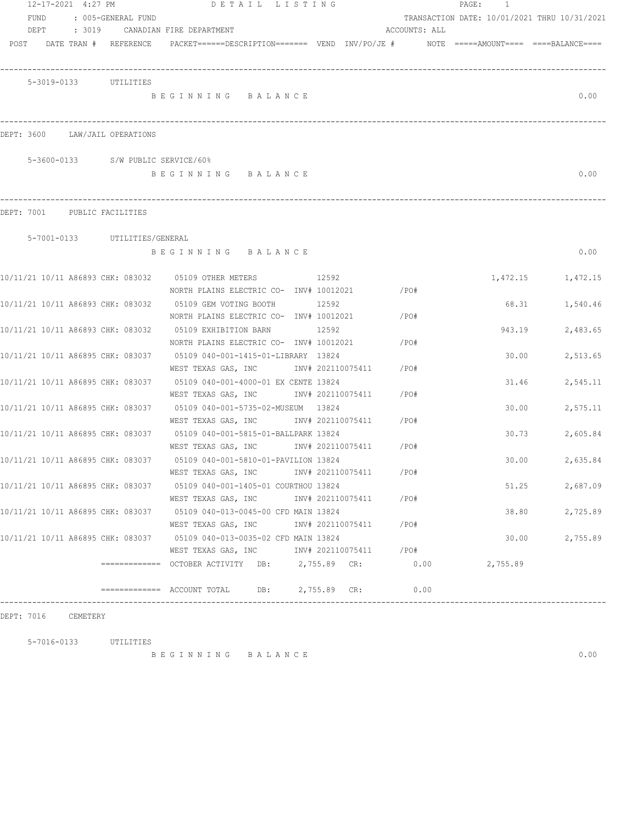| 12-17-2021 4:27 PM |                                    |                                                                            | DETAIL LISTING |       |                   |               | PAGE:<br>$\overline{1}$                                                                                         |                   |
|--------------------|------------------------------------|----------------------------------------------------------------------------|----------------|-------|-------------------|---------------|-----------------------------------------------------------------------------------------------------------------|-------------------|
| FUND               | : 005-GENERAL FUND                 |                                                                            |                |       |                   |               | TRANSACTION DATE: 10/01/2021 THRU 10/31/2021                                                                    |                   |
|                    |                                    | DEPT : 3019 CANADIAN FIRE DEPARTMENT                                       |                |       |                   | ACCOUNTS: ALL |                                                                                                                 |                   |
|                    |                                    |                                                                            |                |       |                   |               | POST DATE TRAN # REFERENCE PACKET======DESCRIPTION======= VEND INV/PO/JE # NOTE =====AMOUNT==== ====BALANCE==== |                   |
|                    |                                    |                                                                            |                |       |                   |               |                                                                                                                 |                   |
|                    |                                    |                                                                            |                |       |                   |               |                                                                                                                 |                   |
|                    | 5-3019-0133 UTILITIES              |                                                                            |                |       |                   |               |                                                                                                                 |                   |
|                    |                                    | BEGINNING BALANCE                                                          |                |       |                   |               |                                                                                                                 | 0.00              |
|                    |                                    |                                                                            |                |       |                   |               |                                                                                                                 |                   |
|                    |                                    |                                                                            |                |       |                   |               |                                                                                                                 |                   |
|                    | DEPT: 3600 LAW/JAIL OPERATIONS     |                                                                            |                |       |                   |               |                                                                                                                 |                   |
|                    |                                    |                                                                            |                |       |                   |               |                                                                                                                 |                   |
|                    | 5-3600-0133 S/W PUBLIC SERVICE/60% |                                                                            |                |       |                   |               |                                                                                                                 |                   |
|                    |                                    | BEGINNING BALANCE                                                          |                |       |                   |               |                                                                                                                 | 0.00              |
|                    |                                    |                                                                            |                |       |                   |               |                                                                                                                 |                   |
|                    |                                    |                                                                            |                |       |                   |               |                                                                                                                 |                   |
|                    | DEPT: 7001 PUBLIC FACILITIES       |                                                                            |                |       |                   |               |                                                                                                                 |                   |
|                    | 5-7001-0133 UTILITIES/GENERAL      |                                                                            |                |       |                   |               |                                                                                                                 |                   |
|                    |                                    | BEGINNING BALANCE                                                          |                |       |                   |               |                                                                                                                 | 0.00              |
|                    |                                    |                                                                            |                |       |                   |               |                                                                                                                 |                   |
|                    |                                    | 10/11/21 10/11 A86893 CHK: 083032 05109 OTHER METERS                       | 12592          |       |                   |               |                                                                                                                 | 1,472.15 1,472.15 |
|                    |                                    | NORTH PLAINS ELECTRIC CO- $INV# 10012021$ /PO#                             |                |       |                   |               |                                                                                                                 |                   |
|                    |                                    | 10/11/21 10/11 A86893 CHK: 083032 05109 GEM VOTING BOOTH                   |                | 12592 |                   |               | 68.31                                                                                                           | 1,540.46          |
|                    |                                    | NORTH PLAINS ELECTRIC CO- $INV# 10012021$ /PO#                             |                |       |                   |               |                                                                                                                 |                   |
|                    |                                    |                                                                            |                | 12592 |                   |               | 943.19                                                                                                          | 2,483.65          |
|                    |                                    | NORTH PLAINS ELECTRIC CO- INV# 10012021                                    |                |       |                   | /PO#          |                                                                                                                 |                   |
|                    |                                    | 10/11/21 10/11 A86895 CHK: 083037 05109 040-001-1415-01-LIBRARY 13824      |                |       |                   |               | 30.00                                                                                                           | 2,513.65          |
|                    |                                    | WEST TEXAS GAS, INC        INV# 202110075411                               |                |       |                   | /PO#          |                                                                                                                 |                   |
|                    | 10/11/21 10/11 A86895 CHK: 083037  | 05109 040-001-4000-01 EX CENTE 13824                                       |                |       |                   |               | 31.46                                                                                                           | 2,545.11          |
|                    |                                    | WEST TEXAS GAS, INC MONTH 202110075411                                     |                |       |                   | /PO#          |                                                                                                                 |                   |
|                    | 10/11/21 10/11 A86895 CHK: 083037  | 05109  040-001-5735-02-MUSEUM  13824                                       |                |       |                   |               | 30.00                                                                                                           | 2,575.11          |
|                    |                                    | WEST TEXAS GAS, INC MONTH 202110075411 / PO#                               |                |       |                   |               |                                                                                                                 |                   |
|                    |                                    | 10/11/21 10/11 A86895 CHK: 083037 05109 040-001-5815-01-BALLPARK 13824     |                |       |                   |               | 30.73                                                                                                           | 2,605.84          |
|                    |                                    | WEST TEXAS GAS, INC       INV# 202110075411     /PO#                       |                |       |                   |               |                                                                                                                 |                   |
|                    |                                    | 10/11/21 10/11 A86895 CHK: 083037     05109 040-001-5810-01-PAVILION 13824 |                |       |                   |               | 30.00                                                                                                           | 2,635.84          |
|                    |                                    | WEST TEXAS GAS, INC MW# 202110075411                                       |                |       |                   | /PO#          |                                                                                                                 |                   |
|                    |                                    | 10/11/21 10/11 A86895 CHK: 083037 05109 040-001-1405-01 COURTHOU 13824     |                |       |                   |               | 51.25                                                                                                           | 2,687.09          |
|                    |                                    | WEST TEXAS GAS, INC                                                        |                |       | INV# 202110075411 | /PO#          |                                                                                                                 |                   |
|                    | 10/11/21 10/11 A86895 CHK: 083037  | 05109 040-013-0045-00 CFD MAIN 13824                                       |                |       |                   |               | 38.80                                                                                                           | 2,725.89          |
|                    |                                    | WEST TEXAS GAS, INC                                                        |                |       | INV# 202110075411 | / PO#         |                                                                                                                 |                   |
|                    | 10/11/21 10/11 A86895 CHK: 083037  | 05109 040-013-0035-02 CFD MAIN 13824                                       |                |       |                   |               | 30.00                                                                                                           | 2,755.89          |
|                    |                                    | WEST TEXAS GAS, INC MONTH 202110075411 / PO#                               |                |       |                   |               |                                                                                                                 |                   |
|                    |                                    | ============= OCTOBER ACTIVITY DB: 2,755.89 CR:                            |                |       |                   | 0.00          | 2,755.89                                                                                                        |                   |
|                    |                                    |                                                                            |                |       |                   |               |                                                                                                                 |                   |
|                    |                                    | $\frac{1}{1}$ ============= ACCOUNT TOTAL DB: 2,755.89 CR:                 |                |       |                   | 0.00          |                                                                                                                 |                   |
|                    |                                    |                                                                            |                |       |                   |               |                                                                                                                 |                   |

DEPT: 7016 CEMETERY

5-7016-0133 UTILITIES

B E G I N N I N G B A L A N C E 0.00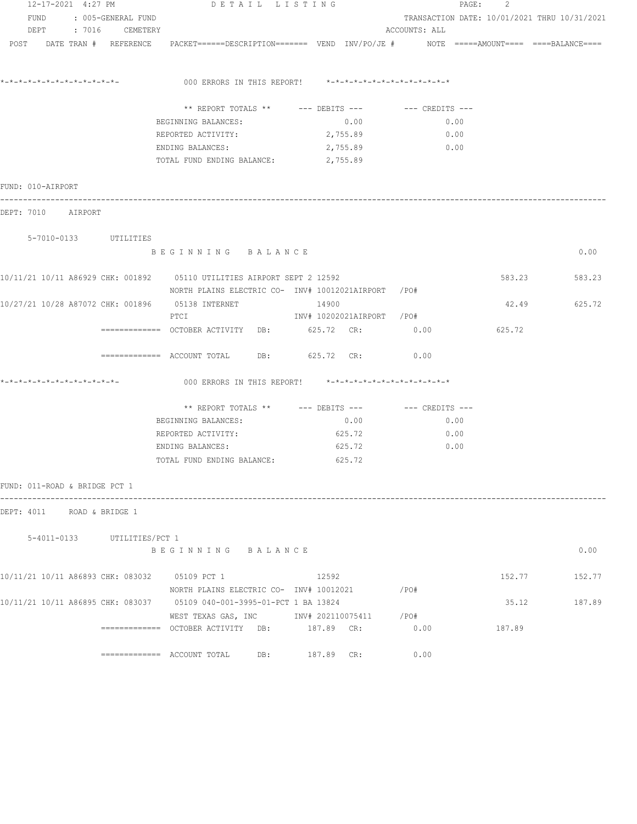| 12-17-2021 4:27 PM            |                             | DETAIL LISTING                                                                                                                |                                                   |                                              | 2<br>PAGE: |        |
|-------------------------------|-----------------------------|-------------------------------------------------------------------------------------------------------------------------------|---------------------------------------------------|----------------------------------------------|------------|--------|
| FUND                          | : 005-GENERAL FUND          |                                                                                                                               |                                                   | TRANSACTION DATE: 10/01/2021 THRU 10/31/2021 |            |        |
|                               | DEPT : 7016 CEMETERY        |                                                                                                                               |                                                   | ACCOUNTS: ALL                                |            |        |
| POST DATE TRAN # REFERENCE    |                             | PACKET======DESCRIPTION======= VEND INV/PO/JE #     NOTE =====AMOUNT==== ====BALANCE====                                      |                                                   |                                              |            |        |
|                               |                             | 000 ERRORS IN THIS REPORT! *-*-*-*-*-*-*-*-*-*-*-*-*-*-                                                                       |                                                   |                                              |            |        |
|                               |                             | ** REPORT TOTALS ** --- DEBITS ---                                                                                            |                                                   | --- CREDITS ---                              |            |        |
|                               |                             | BEGINNING BALANCES:                                                                                                           | 0.00                                              | 0.00                                         |            |        |
|                               |                             | REPORTED ACTIVITY:                                                                                                            | 2,755.89                                          | 0.00                                         |            |        |
|                               |                             | ENDING BALANCES:                                                                                                              | 2,755.89                                          | 0.00                                         |            |        |
|                               |                             | TOTAL FUND ENDING BALANCE: 2,755.89                                                                                           |                                                   |                                              |            |        |
| FUND: 010-AIRPORT             |                             |                                                                                                                               |                                                   |                                              |            |        |
| DEPT: 7010 AIRPORT            |                             |                                                                                                                               |                                                   |                                              |            |        |
|                               | 5-7010-0133 UTILITIES       |                                                                                                                               |                                                   |                                              |            |        |
|                               |                             | BEGINNING BALANCE                                                                                                             |                                                   |                                              |            | 0.00   |
|                               |                             | 10/11/21 10/11 A86929 CHK: 001892 05110 UTILITIES AIRPORT SEPT 2 12592<br>NORTH PLAINS ELECTRIC CO- INV# 10012021AIRPORT /PO# |                                                   |                                              | 583.23     | 583.23 |
|                               |                             | 10/27/21 10/28 A87072 CHK: 001896 05138 INTERNET<br>PTCI                                                                      | 14900<br>INV# 10202021AIRPORT /PO#                |                                              | 42.49      | 625.72 |
|                               |                             |                                                                                                                               |                                                   | 0.00                                         | 625.72     |        |
|                               |                             |                                                                                                                               | 625.72 CR:                                        | 0.00                                         |            |        |
|                               |                             | 000 ERRORS IN THIS REPORT!                                                                                                    | *_*_*_*_*_*_*_*_*_*_*_*_*_*_*_                    |                                              |            |        |
|                               |                             |                                                                                                                               | ** REPORT TOTALS ** --- DEBITS --- -- CREDITS --- |                                              |            |        |
|                               |                             | BEGINNING BALANCES:                                                                                                           | 0.00                                              | 0.00                                         |            |        |
|                               |                             | REPORTED ACTIVITY:                                                                                                            | 625.72                                            | 0.00                                         |            |        |
|                               |                             | ENDING BALANCES:                                                                                                              | 625.72                                            | 0.00                                         |            |        |
|                               |                             | TOTAL FUND ENDING BALANCE:                                                                                                    | 625.72                                            |                                              |            |        |
| FUND: 011-ROAD & BRIDGE PCT 1 |                             |                                                                                                                               |                                                   |                                              |            |        |
| DEPT: 4011 ROAD & BRIDGE 1    |                             |                                                                                                                               |                                                   |                                              |            |        |
|                               | 5-4011-0133 UTILITIES/PCT 1 |                                                                                                                               |                                                   |                                              |            |        |
|                               |                             | BEGINNING BALANCE                                                                                                             |                                                   |                                              |            | 0.00   |
|                               |                             | 10/11/21 10/11 A86893 CHK: 083032 05109 PCT 1                                                                                 | 12592                                             |                                              | 152.77     | 152.77 |
|                               |                             | NORTH PLAINS ELECTRIC CO- INV# 10012021<br>10/11/21 10/11 A86895 CHK: 083037 05109 040-001-3995-01-PCT 1 BA 13824             |                                                   | $/$ PO#                                      | 35.12      | 187.89 |
|                               |                             | WEST TEXAS GAS, INC 		 INV# 202110075411 / PO#                                                                                |                                                   |                                              |            |        |
|                               |                             | ============ OCTOBER ACTIVITY DB: 187.89 CR: 0.00                                                                             |                                                   |                                              | 187.89     |        |
|                               |                             | ============= ACCOUNT TOTAL DB: 187.89 CR:                                                                                    |                                                   | 0.00                                         |            |        |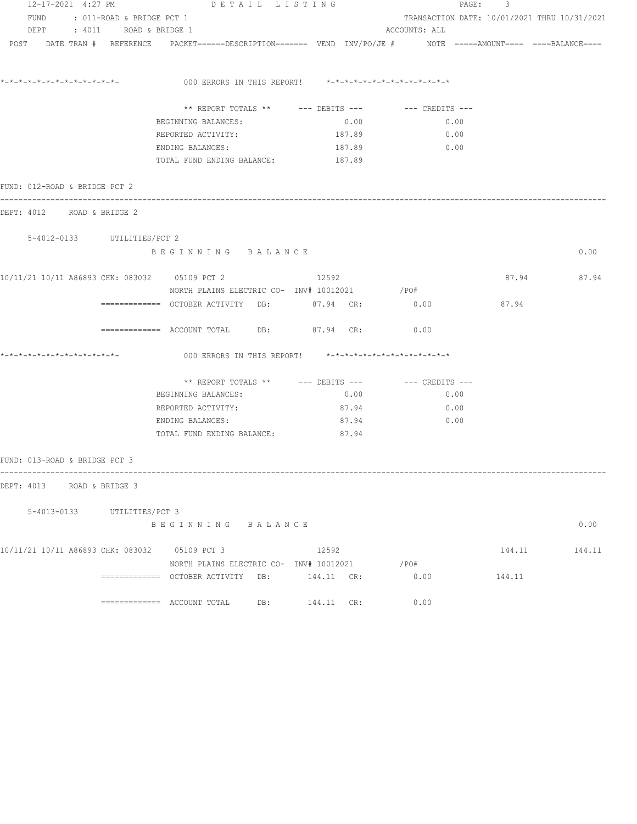| 12-17-2021 4:27 PM                            |                                | DETAIL LISTING                                                                                                 | PAGE:<br>$\mathbf{3}$                             |                                              |        |             |
|-----------------------------------------------|--------------------------------|----------------------------------------------------------------------------------------------------------------|---------------------------------------------------|----------------------------------------------|--------|-------------|
|                                               | FUND : 011-ROAD & BRIDGE PCT 1 |                                                                                                                |                                                   | TRANSACTION DATE: 10/01/2021 THRU 10/31/2021 |        |             |
|                                               | DEPT : 4011 ROAD & BRIDGE 1    |                                                                                                                |                                                   | ACCOUNTS: ALL                                |        |             |
|                                               |                                | POST DATE TRAN # REFERENCE PACKET======DESCRIPTION======= VEND INV/PO/JE # NOTE =====AMOUNT==== ===BALANCE==== |                                                   |                                              |        |             |
|                                               |                                | 000 ERRORS IN THIS REPORT! $*-*-*-*-*-*-*-*-*-*-*-*-*-*-*$                                                     |                                                   |                                              |        |             |
|                                               |                                |                                                                                                                |                                                   |                                              |        |             |
|                                               |                                |                                                                                                                | ** REPORT TOTALS ** --- DEBITS --- -- CREDITS --- |                                              |        |             |
|                                               |                                | BEGINNING BALANCES:                                                                                            | 0.00                                              | 0.00                                         |        |             |
|                                               |                                | REPORTED ACTIVITY:                                                                                             | 187.89                                            | 0.00                                         |        |             |
|                                               |                                | ENDING BALANCES:                                                                                               | 187.89                                            | 0.00                                         |        |             |
|                                               |                                | TOTAL FUND ENDING BALANCE: 187.89                                                                              |                                                   |                                              |        |             |
| FUND: 012-ROAD & BRIDGE PCT 2                 |                                |                                                                                                                |                                                   |                                              |        |             |
| DEPT: 4012 ROAD & BRIDGE 2                    |                                |                                                                                                                |                                                   |                                              |        |             |
|                                               | 5-4012-0133 UTILITIES/PCT 2    |                                                                                                                |                                                   |                                              |        |             |
|                                               |                                | BEGINNING BALANCE                                                                                              |                                                   |                                              |        | 0.00        |
| 10/11/21 10/11 A86893 CHK: 083032 05109 PCT 2 |                                |                                                                                                                | 12592                                             |                                              |        | 87.94 87.94 |
|                                               |                                |                                                                                                                |                                                   |                                              |        |             |
|                                               |                                | ============ OCTOBER ACTIVITY DB: 87.94 CR: 0.00                                                               |                                                   |                                              | 87.94  |             |
|                                               |                                | ============ ACCOUNT TOTAL DB: 87.94 CR:                                                                       |                                                   | 0.00                                         |        |             |
| *-*-*-*-*-*-*-*-*-*-*-*-*-*-                  |                                | 000 ERRORS IN THIS REPORT! $*-*-*-*-*-*-*-*-*-*-*-*-*-*-**$                                                    |                                                   |                                              |        |             |
|                                               |                                | ** REPORT TOTALS ** $---$ DEBITS --- $---$ CREDITS ---                                                         |                                                   |                                              |        |             |
|                                               |                                | BEGINNING BALANCES:                                                                                            | 0.00                                              | 0.00                                         |        |             |
|                                               |                                | REPORTED ACTIVITY:                                                                                             | 87.94                                             | 0.00                                         |        |             |
|                                               |                                | ENDING BALANCES:                                                                                               | 87.94                                             | 0.00                                         |        |             |
|                                               |                                | TOTAL FUND ENDING BALANCE:                                                                                     | 87.94                                             |                                              |        |             |
| FUND: 013-ROAD & BRIDGE PCT 3                 |                                |                                                                                                                |                                                   |                                              |        |             |
| DEPT: 4013 ROAD & BRIDGE 3                    |                                |                                                                                                                |                                                   |                                              |        |             |
|                                               |                                |                                                                                                                |                                                   |                                              |        |             |
|                                               | 5-4013-0133 UTILITIES/PCT 3    | BEGINNING BALANCE                                                                                              |                                                   |                                              |        | 0.00        |
|                                               |                                |                                                                                                                |                                                   |                                              |        |             |
| 10/11/21 10/11 A86893 CHK: 083032 05109 PCT 3 |                                |                                                                                                                | 12592                                             |                                              | 144.11 | 144.11      |
|                                               |                                | NORTH PLAINS ELECTRIC CO- INV# 10012021                                                                        |                                                   | /PO#                                         |        |             |
|                                               |                                |                                                                                                                | 144.11 CR:                                        | 0.00                                         | 144.11 |             |
|                                               |                                | DB:<br>============= ACCOUNT TOTAL                                                                             | 144.11 CR:                                        | 0.00                                         |        |             |